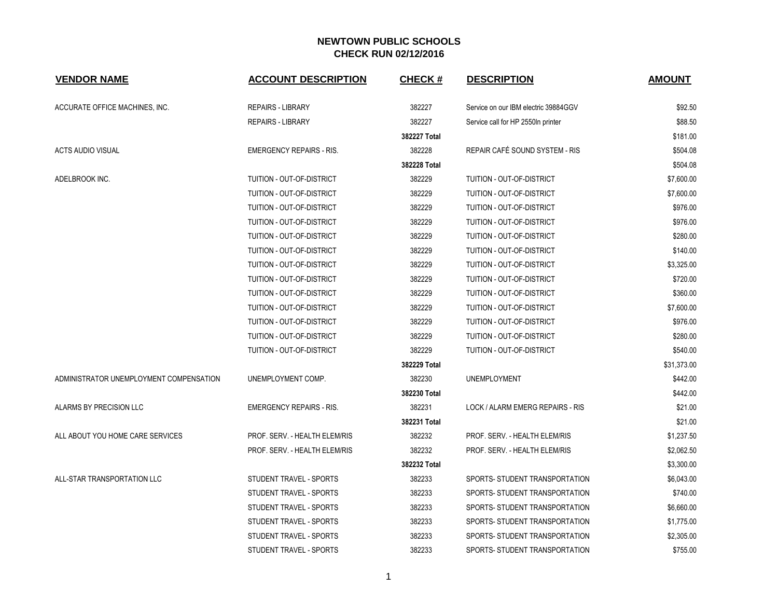| <b>VENDOR NAME</b>                      | <b>ACCOUNT DESCRIPTION</b>      | <b>CHECK#</b> | <b>DESCRIPTION</b>                   | <b>AMOUNT</b> |
|-----------------------------------------|---------------------------------|---------------|--------------------------------------|---------------|
| ACCURATE OFFICE MACHINES, INC.          | <b>REPAIRS - LIBRARY</b>        | 382227        | Service on our IBM electric 39884GGV | \$92.50       |
|                                         | <b>REPAIRS - LIBRARY</b>        | 382227        | Service call for HP 2550In printer   | \$88.50       |
|                                         |                                 | 382227 Total  |                                      | \$181.00      |
| <b>ACTS AUDIO VISUAL</b>                | <b>EMERGENCY REPAIRS - RIS.</b> | 382228        | REPAIR CAFÉ SOUND SYSTEM - RIS       | \$504.08      |
|                                         |                                 | 382228 Total  |                                      | \$504.08      |
| ADELBROOK INC.                          | TUITION - OUT-OF-DISTRICT       | 382229        | TUITION - OUT-OF-DISTRICT            | \$7,600.00    |
|                                         | TUITION - OUT-OF-DISTRICT       | 382229        | TUITION - OUT-OF-DISTRICT            | \$7,600.00    |
|                                         | TUITION - OUT-OF-DISTRICT       | 382229        | TUITION - OUT-OF-DISTRICT            | \$976.00      |
|                                         | TUITION - OUT-OF-DISTRICT       | 382229        | TUITION - OUT-OF-DISTRICT            | \$976.00      |
|                                         | TUITION - OUT-OF-DISTRICT       | 382229        | TUITION - OUT-OF-DISTRICT            | \$280.00      |
|                                         | TUITION - OUT-OF-DISTRICT       | 382229        | TUITION - OUT-OF-DISTRICT            | \$140.00      |
|                                         | TUITION - OUT-OF-DISTRICT       | 382229        | TUITION - OUT-OF-DISTRICT            | \$3,325.00    |
|                                         | TUITION - OUT-OF-DISTRICT       | 382229        | TUITION - OUT-OF-DISTRICT            | \$720.00      |
|                                         | TUITION - OUT-OF-DISTRICT       | 382229        | TUITION - OUT-OF-DISTRICT            | \$360.00      |
|                                         | TUITION - OUT-OF-DISTRICT       | 382229        | TUITION - OUT-OF-DISTRICT            | \$7,600.00    |
|                                         | TUITION - OUT-OF-DISTRICT       | 382229        | TUITION - OUT-OF-DISTRICT            | \$976.00      |
|                                         | TUITION - OUT-OF-DISTRICT       | 382229        | TUITION - OUT-OF-DISTRICT            | \$280.00      |
|                                         | TUITION - OUT-OF-DISTRICT       | 382229        | TUITION - OUT-OF-DISTRICT            | \$540.00      |
|                                         |                                 | 382229 Total  |                                      | \$31,373.00   |
| ADMINISTRATOR UNEMPLOYMENT COMPENSATION | UNEMPLOYMENT COMP.              | 382230        | UNEMPLOYMENT                         | \$442.00      |
|                                         |                                 | 382230 Total  |                                      | \$442.00      |
| ALARMS BY PRECISION LLC                 | <b>EMERGENCY REPAIRS - RIS.</b> | 382231        | LOCK / ALARM EMERG REPAIRS - RIS     | \$21.00       |
|                                         |                                 | 382231 Total  |                                      | \$21.00       |
| ALL ABOUT YOU HOME CARE SERVICES        | PROF. SERV. - HEALTH ELEM/RIS   | 382232        | PROF. SERV. - HEALTH ELEM/RIS        | \$1,237.50    |
|                                         | PROF. SERV. - HEALTH ELEM/RIS   | 382232        | PROF. SERV. - HEALTH ELEM/RIS        | \$2,062.50    |
|                                         |                                 | 382232 Total  |                                      | \$3,300.00    |
| ALL-STAR TRANSPORTATION LLC             | STUDENT TRAVEL - SPORTS         | 382233        | SPORTS- STUDENT TRANSPORTATION       | \$6,043.00    |
|                                         | STUDENT TRAVEL - SPORTS         | 382233        | SPORTS- STUDENT TRANSPORTATION       | \$740.00      |
|                                         | STUDENT TRAVEL - SPORTS         | 382233        | SPORTS- STUDENT TRANSPORTATION       | \$6,660.00    |
|                                         | STUDENT TRAVEL - SPORTS         | 382233        | SPORTS- STUDENT TRANSPORTATION       | \$1,775.00    |
|                                         | STUDENT TRAVEL - SPORTS         | 382233        | SPORTS- STUDENT TRANSPORTATION       | \$2,305.00    |
|                                         | STUDENT TRAVEL - SPORTS         | 382233        | SPORTS- STUDENT TRANSPORTATION       | \$755.00      |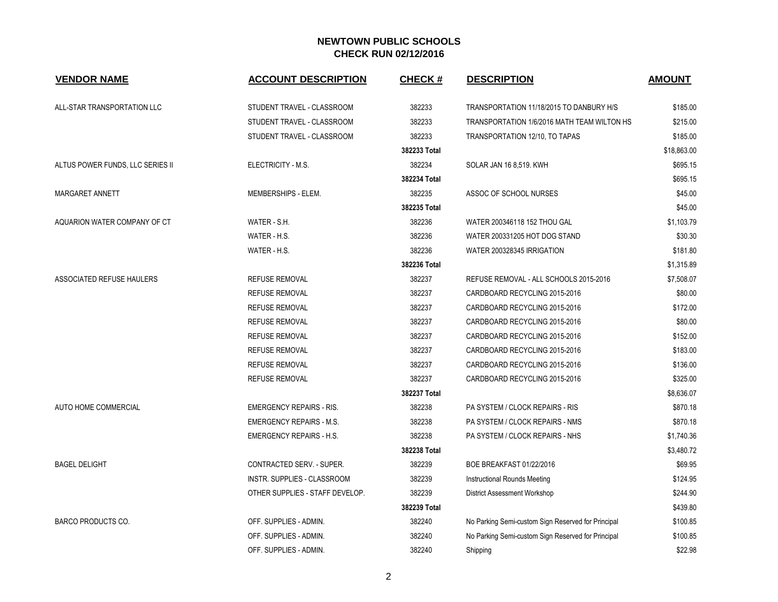| <b>VENDOR NAME</b>               | <b>ACCOUNT DESCRIPTION</b>      | <b>CHECK#</b> | <b>DESCRIPTION</b>                                 | <b>AMOUNT</b> |
|----------------------------------|---------------------------------|---------------|----------------------------------------------------|---------------|
| ALL-STAR TRANSPORTATION LLC      | STUDENT TRAVEL - CLASSROOM      | 382233        | TRANSPORTATION 11/18/2015 TO DANBURY H/S           | \$185.00      |
|                                  | STUDENT TRAVEL - CLASSROOM      | 382233        | TRANSPORTATION 1/6/2016 MATH TEAM WILTON HS        | \$215.00      |
|                                  | STUDENT TRAVEL - CLASSROOM      | 382233        | TRANSPORTATION 12/10, TO TAPAS                     | \$185.00      |
|                                  |                                 | 382233 Total  |                                                    | \$18,863.00   |
| ALTUS POWER FUNDS, LLC SERIES II | ELECTRICITY - M.S.              | 382234        | <b>SOLAR JAN 16 8,519. KWH</b>                     | \$695.15      |
|                                  |                                 | 382234 Total  |                                                    | \$695.15      |
| MARGARET ANNETT                  | MEMBERSHIPS - ELEM.             | 382235        | ASSOC OF SCHOOL NURSES                             | \$45.00       |
|                                  |                                 | 382235 Total  |                                                    | \$45.00       |
| AQUARION WATER COMPANY OF CT     | WATER - S.H.                    | 382236        | WATER 200346118 152 THOU GAL                       | \$1,103.79    |
|                                  | WATER - H.S.                    | 382236        | WATER 200331205 HOT DOG STAND                      | \$30.30       |
|                                  | WATER - H.S.                    | 382236        | WATER 200328345 IRRIGATION                         | \$181.80      |
|                                  |                                 | 382236 Total  |                                                    | \$1,315.89    |
| ASSOCIATED REFUSE HAULERS        | <b>REFUSE REMOVAL</b>           | 382237        | REFUSE REMOVAL - ALL SCHOOLS 2015-2016             | \$7,508.07    |
|                                  | <b>REFUSE REMOVAL</b>           | 382237        | CARDBOARD RECYCLING 2015-2016                      | \$80.00       |
|                                  | <b>REFUSE REMOVAL</b>           | 382237        | CARDBOARD RECYCLING 2015-2016                      | \$172.00      |
|                                  | <b>REFUSE REMOVAL</b>           | 382237        | CARDBOARD RECYCLING 2015-2016                      | \$80.00       |
|                                  | <b>REFUSE REMOVAL</b>           | 382237        | CARDBOARD RECYCLING 2015-2016                      | \$152.00      |
|                                  | <b>REFUSE REMOVAL</b>           | 382237        | CARDBOARD RECYCLING 2015-2016                      | \$183.00      |
|                                  | <b>REFUSE REMOVAL</b>           | 382237        | CARDBOARD RECYCLING 2015-2016                      | \$136.00      |
|                                  | <b>REFUSE REMOVAL</b>           | 382237        | CARDBOARD RECYCLING 2015-2016                      | \$325.00      |
|                                  |                                 | 382237 Total  |                                                    | \$8,636.07    |
| AUTO HOME COMMERCIAL             | <b>EMERGENCY REPAIRS - RIS.</b> | 382238        | PA SYSTEM / CLOCK REPAIRS - RIS                    | \$870.18      |
|                                  | <b>EMERGENCY REPAIRS - M.S.</b> | 382238        | PA SYSTEM / CLOCK REPAIRS - NMS                    | \$870.18      |
|                                  | <b>EMERGENCY REPAIRS - H.S.</b> | 382238        | PA SYSTEM / CLOCK REPAIRS - NHS                    | \$1,740.36    |
|                                  |                                 | 382238 Total  |                                                    | \$3,480.72    |
| <b>BAGEL DELIGHT</b>             | CONTRACTED SERV. - SUPER.       | 382239        | <b>BOE BREAKFAST 01/22/2016</b>                    | \$69.95       |
|                                  | INSTR. SUPPLIES - CLASSROOM     | 382239        | Instructional Rounds Meeting                       | \$124.95      |
|                                  | OTHER SUPPLIES - STAFF DEVELOP. | 382239        | District Assessment Workshop                       | \$244.90      |
|                                  |                                 | 382239 Total  |                                                    | \$439.80      |
| <b>BARCO PRODUCTS CO.</b>        | OFF. SUPPLIES - ADMIN.          | 382240        | No Parking Semi-custom Sign Reserved for Principal | \$100.85      |
|                                  | OFF. SUPPLIES - ADMIN.          | 382240        | No Parking Semi-custom Sign Reserved for Principal | \$100.85      |
|                                  | OFF. SUPPLIES - ADMIN.          | 382240        | Shipping                                           | \$22.98       |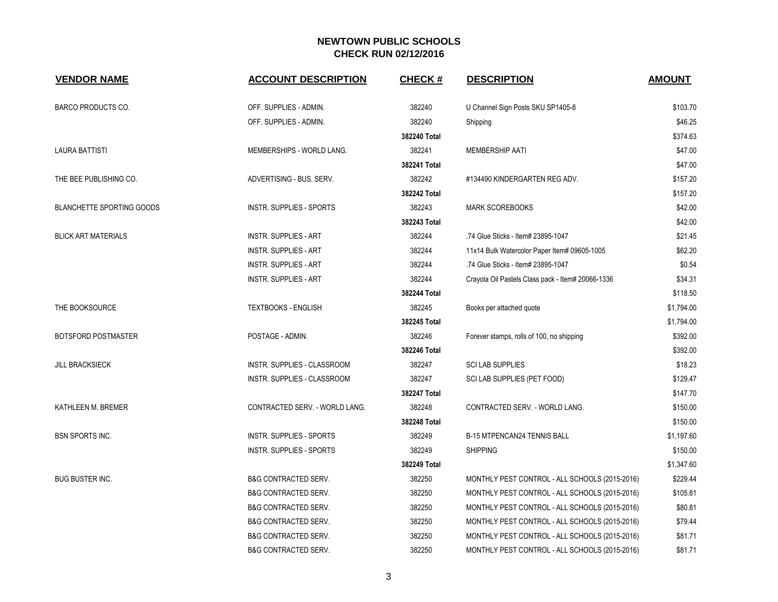| <b>VENDOR NAME</b>               | <b>ACCOUNT DESCRIPTION</b>      | <b>CHECK#</b> | <b>DESCRIPTION</b>                                | <b>AMOUNT</b> |
|----------------------------------|---------------------------------|---------------|---------------------------------------------------|---------------|
| <b>BARCO PRODUCTS CO.</b>        | OFF. SUPPLIES - ADMIN.          | 382240        | U Channel Sign Posts SKU SP1405-8                 | \$103.70      |
|                                  | OFF. SUPPLIES - ADMIN.          | 382240        | Shipping                                          | \$46.25       |
|                                  |                                 | 382240 Total  |                                                   | \$374.63      |
| <b>LAURA BATTISTI</b>            | MEMBERSHIPS - WORLD LANG.       | 382241        | MEMBERSHIP AATI                                   | \$47.00       |
|                                  |                                 | 382241 Total  |                                                   | \$47.00       |
| THE BEE PUBLISHING CO.           | ADVERTISING - BUS. SERV.        | 382242        | #134490 KINDERGARTEN REG ADV.                     | \$157.20      |
|                                  |                                 | 382242 Total  |                                                   | \$157.20      |
| <b>BLANCHETTE SPORTING GOODS</b> | <b>INSTR. SUPPLIES - SPORTS</b> | 382243        | <b>MARK SCOREBOOKS</b>                            | \$42.00       |
|                                  |                                 | 382243 Total  |                                                   | \$42.00       |
| <b>BLICK ART MATERIALS</b>       | <b>INSTR. SUPPLIES - ART</b>    | 382244        | .74 Glue Sticks - Item# 23895-1047                | \$21.45       |
|                                  | <b>INSTR. SUPPLIES - ART</b>    | 382244        | 11x14 Bulk Watercolor Paper Item# 09605-1005      | \$62.20       |
|                                  | <b>INSTR. SUPPLIES - ART</b>    | 382244        | .74 Glue Sticks - Item# 23895-1047                | \$0.54        |
|                                  | <b>INSTR. SUPPLIES - ART</b>    | 382244        | Crayola Oil Pastels Class pack - Item# 20066-1336 | \$34.31       |
|                                  |                                 | 382244 Total  |                                                   | \$118.50      |
| THE BOOKSOURCE                   | <b>TEXTBOOKS - ENGLISH</b>      | 382245        | Books per attached quote                          | \$1,794.00    |
|                                  |                                 | 382245 Total  |                                                   | \$1,794.00    |
| <b>BOTSFORD POSTMASTER</b>       | POSTAGE - ADMIN.                | 382246        | Forever stamps, rolls of 100, no shipping         | \$392.00      |
|                                  |                                 | 382246 Total  |                                                   | \$392.00      |
| <b>JILL BRACKSIECK</b>           | INSTR. SUPPLIES - CLASSROOM     | 382247        | <b>SCI LAB SUPPLIES</b>                           | \$18.23       |
|                                  | INSTR. SUPPLIES - CLASSROOM     | 382247        | SCI LAB SUPPLIES (PET FOOD)                       | \$129.47      |
|                                  |                                 | 382247 Total  |                                                   | \$147.70      |
| KATHLEEN M. BREMER               | CONTRACTED SERV. - WORLD LANG.  | 382248        | CONTRACTED SERV. - WORLD LANG.                    | \$150.00      |
|                                  |                                 | 382248 Total  |                                                   | \$150.00      |
| <b>BSN SPORTS INC.</b>           | INSTR. SUPPLIES - SPORTS        | 382249        | B-15 MTPENCAN24 TENNIS BALL                       | \$1,197.60    |
|                                  | <b>INSTR. SUPPLIES - SPORTS</b> | 382249        | <b>SHIPPING</b>                                   | \$150.00      |
|                                  |                                 | 382249 Total  |                                                   | \$1,347.60    |
| <b>BUG BUSTER INC.</b>           | <b>B&amp;G CONTRACTED SERV.</b> | 382250        | MONTHLY PEST CONTROL - ALL SCHOOLS (2015-2016)    | \$229.44      |
|                                  | <b>B&amp;G CONTRACTED SERV.</b> | 382250        | MONTHLY PEST CONTROL - ALL SCHOOLS (2015-2016)    | \$105.81      |
|                                  | <b>B&amp;G CONTRACTED SERV.</b> | 382250        | MONTHLY PEST CONTROL - ALL SCHOOLS (2015-2016)    | \$80.81       |
|                                  | <b>B&amp;G CONTRACTED SERV.</b> | 382250        | MONTHLY PEST CONTROL - ALL SCHOOLS (2015-2016)    | \$79.44       |
|                                  | <b>B&amp;G CONTRACTED SERV.</b> | 382250        | MONTHLY PEST CONTROL - ALL SCHOOLS (2015-2016)    | \$81.71       |
|                                  | <b>B&amp;G CONTRACTED SERV.</b> | 382250        | MONTHLY PEST CONTROL - ALL SCHOOLS (2015-2016)    | \$81.71       |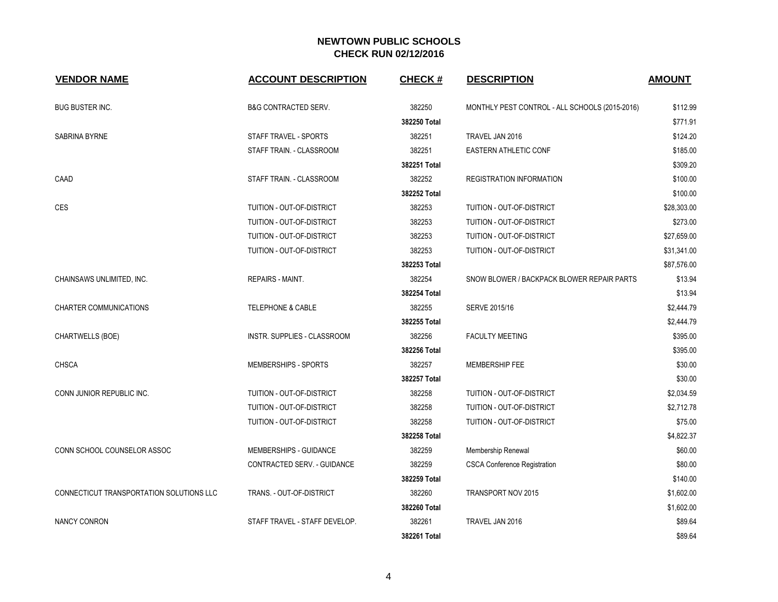| <b>VENDOR NAME</b>                       | <b>ACCOUNT DESCRIPTION</b>    | <b>CHECK#</b> | <b>DESCRIPTION</b>                             | <b>AMOUNT</b> |
|------------------------------------------|-------------------------------|---------------|------------------------------------------------|---------------|
| <b>BUG BUSTER INC.</b>                   | B&G CONTRACTED SERV.          | 382250        | MONTHLY PEST CONTROL - ALL SCHOOLS (2015-2016) | \$112.99      |
|                                          |                               | 382250 Total  |                                                | \$771.91      |
| SABRINA BYRNE                            | STAFF TRAVEL - SPORTS         | 382251        | TRAVEL JAN 2016                                | \$124.20      |
|                                          | STAFF TRAIN. - CLASSROOM      | 382251        | <b>EASTERN ATHLETIC CONF</b>                   | \$185.00      |
|                                          |                               | 382251 Total  |                                                | \$309.20      |
| CAAD                                     | STAFF TRAIN. - CLASSROOM      | 382252        | <b>REGISTRATION INFORMATION</b>                | \$100.00      |
|                                          |                               | 382252 Total  |                                                | \$100.00      |
| CES                                      | TUITION - OUT-OF-DISTRICT     | 382253        | TUITION - OUT-OF-DISTRICT                      | \$28,303.00   |
|                                          | TUITION - OUT-OF-DISTRICT     | 382253        | TUITION - OUT-OF-DISTRICT                      | \$273.00      |
|                                          | TUITION - OUT-OF-DISTRICT     | 382253        | TUITION - OUT-OF-DISTRICT                      | \$27,659.00   |
|                                          | TUITION - OUT-OF-DISTRICT     | 382253        | TUITION - OUT-OF-DISTRICT                      | \$31,341.00   |
|                                          |                               | 382253 Total  |                                                | \$87,576.00   |
| CHAINSAWS UNLIMITED, INC.                | <b>REPAIRS - MAINT.</b>       | 382254        | SNOW BLOWER / BACKPACK BLOWER REPAIR PARTS     | \$13.94       |
|                                          |                               | 382254 Total  |                                                | \$13.94       |
| <b>CHARTER COMMUNICATIONS</b>            | <b>TELEPHONE &amp; CABLE</b>  | 382255        | SERVE 2015/16                                  | \$2,444.79    |
|                                          |                               | 382255 Total  |                                                | \$2,444.79    |
| CHARTWELLS (BOE)                         | INSTR. SUPPLIES - CLASSROOM   | 382256        | <b>FACULTY MEETING</b>                         | \$395.00      |
|                                          |                               | 382256 Total  |                                                | \$395.00      |
| <b>CHSCA</b>                             | MEMBERSHIPS - SPORTS          | 382257        | MEMBERSHIP FEE                                 | \$30.00       |
|                                          |                               | 382257 Total  |                                                | \$30.00       |
| CONN JUNIOR REPUBLIC INC.                | TUITION - OUT-OF-DISTRICT     | 382258        | TUITION - OUT-OF-DISTRICT                      | \$2,034.59    |
|                                          | TUITION - OUT-OF-DISTRICT     | 382258        | TUITION - OUT-OF-DISTRICT                      | \$2,712.78    |
|                                          | TUITION - OUT-OF-DISTRICT     | 382258        | TUITION - OUT-OF-DISTRICT                      | \$75.00       |
|                                          |                               | 382258 Total  |                                                | \$4,822.37    |
| CONN SCHOOL COUNSELOR ASSOC              | MEMBERSHIPS - GUIDANCE        | 382259        | Membership Renewal                             | \$60.00       |
|                                          | CONTRACTED SERV. - GUIDANCE   | 382259        | <b>CSCA Conference Registration</b>            | \$80.00       |
|                                          |                               | 382259 Total  |                                                | \$140.00      |
| CONNECTICUT TRANSPORTATION SOLUTIONS LLC | TRANS. - OUT-OF-DISTRICT      | 382260        | TRANSPORT NOV 2015                             | \$1,602.00    |
|                                          |                               | 382260 Total  |                                                | \$1,602.00    |
| <b>NANCY CONRON</b>                      | STAFF TRAVEL - STAFF DEVELOP. | 382261        | TRAVEL JAN 2016                                | \$89.64       |
|                                          |                               | 382261 Total  |                                                | \$89.64       |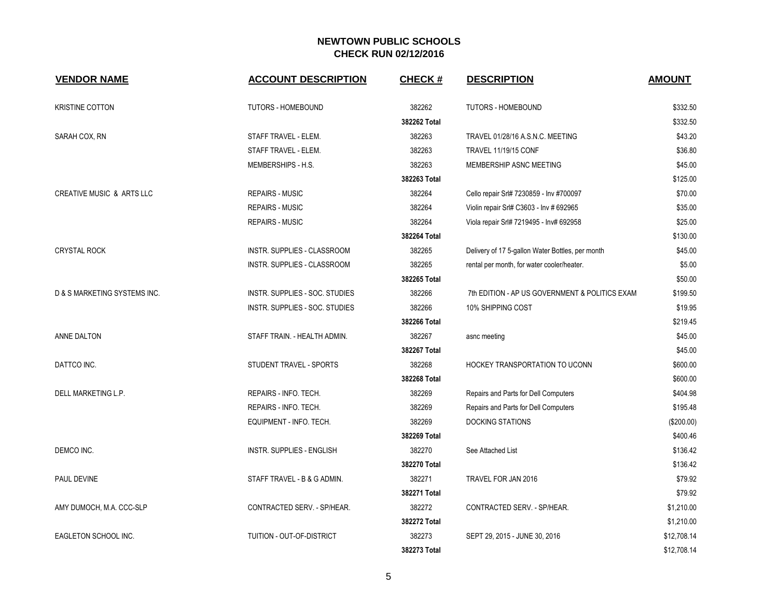| <b>VENDOR NAME</b>                   | <b>ACCOUNT DESCRIPTION</b>       | <b>CHECK#</b> | <b>DESCRIPTION</b>                               | <b>AMOUNT</b> |
|--------------------------------------|----------------------------------|---------------|--------------------------------------------------|---------------|
| <b>KRISTINE COTTON</b>               | <b>TUTORS - HOMEBOUND</b>        | 382262        | TUTORS - HOMEBOUND                               | \$332.50      |
|                                      |                                  | 382262 Total  |                                                  | \$332.50      |
| SARAH COX, RN                        | STAFF TRAVEL - ELEM.             | 382263        | TRAVEL 01/28/16 A.S.N.C. MEETING                 | \$43.20       |
|                                      | STAFF TRAVEL - ELEM.             | 382263        | <b>TRAVEL 11/19/15 CONF</b>                      | \$36.80       |
|                                      | MEMBERSHIPS - H.S.               | 382263        | MEMBERSHIP ASNC MEETING                          | \$45.00       |
|                                      |                                  | 382263 Total  |                                                  | \$125.00      |
| <b>CREATIVE MUSIC &amp; ARTS LLC</b> | <b>REPAIRS - MUSIC</b>           | 382264        | Cello repair Srl# 7230859 - Inv #700097          | \$70.00       |
|                                      | <b>REPAIRS - MUSIC</b>           | 382264        | Violin repair Srl# C3603 - Inv # 692965          | \$35.00       |
|                                      | <b>REPAIRS - MUSIC</b>           | 382264        | Viola repair Srl# 7219495 - Inv# 692958          | \$25.00       |
|                                      |                                  | 382264 Total  |                                                  | \$130.00      |
| <b>CRYSTAL ROCK</b>                  | INSTR. SUPPLIES - CLASSROOM      | 382265        | Delivery of 17 5-gallon Water Bottles, per month | \$45.00       |
|                                      | INSTR. SUPPLIES - CLASSROOM      | 382265        | rental per month, for water cooler/heater.       | \$5.00        |
|                                      |                                  | 382265 Total  |                                                  | \$50.00       |
| D & S MARKETING SYSTEMS INC.         | INSTR. SUPPLIES - SOC. STUDIES   | 382266        | 7th EDITION - AP US GOVERNMENT & POLITICS EXAM   | \$199.50      |
|                                      | INSTR. SUPPLIES - SOC. STUDIES   | 382266        | 10% SHIPPING COST                                | \$19.95       |
|                                      |                                  | 382266 Total  |                                                  | \$219.45      |
| ANNE DALTON                          | STAFF TRAIN. - HEALTH ADMIN.     | 382267        | asnc meeting                                     | \$45.00       |
|                                      |                                  | 382267 Total  |                                                  | \$45.00       |
| DATTCO INC.                          | STUDENT TRAVEL - SPORTS          | 382268        | HOCKEY TRANSPORTATION TO UCONN                   | \$600.00      |
|                                      |                                  | 382268 Total  |                                                  | \$600.00      |
| DELL MARKETING L.P.                  | REPAIRS - INFO. TECH.            | 382269        | Repairs and Parts for Dell Computers             | \$404.98      |
|                                      | REPAIRS - INFO. TECH.            | 382269        | Repairs and Parts for Dell Computers             | \$195.48      |
|                                      | EQUIPMENT - INFO. TECH.          | 382269        | <b>DOCKING STATIONS</b>                          | (\$200.00)    |
|                                      |                                  | 382269 Total  |                                                  | \$400.46      |
| DEMCO INC.                           | <b>INSTR. SUPPLIES - ENGLISH</b> | 382270        | See Attached List                                | \$136.42      |
|                                      |                                  | 382270 Total  |                                                  | \$136.42      |
| PAUL DEVINE                          | STAFF TRAVEL - B & G ADMIN.      | 382271        | TRAVEL FOR JAN 2016                              | \$79.92       |
|                                      |                                  | 382271 Total  |                                                  | \$79.92       |
| AMY DUMOCH, M.A. CCC-SLP             | CONTRACTED SERV. - SP/HEAR.      | 382272        | CONTRACTED SERV. - SP/HEAR.                      | \$1,210.00    |
|                                      |                                  | 382272 Total  |                                                  | \$1,210.00    |
| EAGLETON SCHOOL INC.                 | TUITION - OUT-OF-DISTRICT        | 382273        | SEPT 29, 2015 - JUNE 30, 2016                    | \$12,708.14   |
|                                      |                                  | 382273 Total  |                                                  | \$12,708.14   |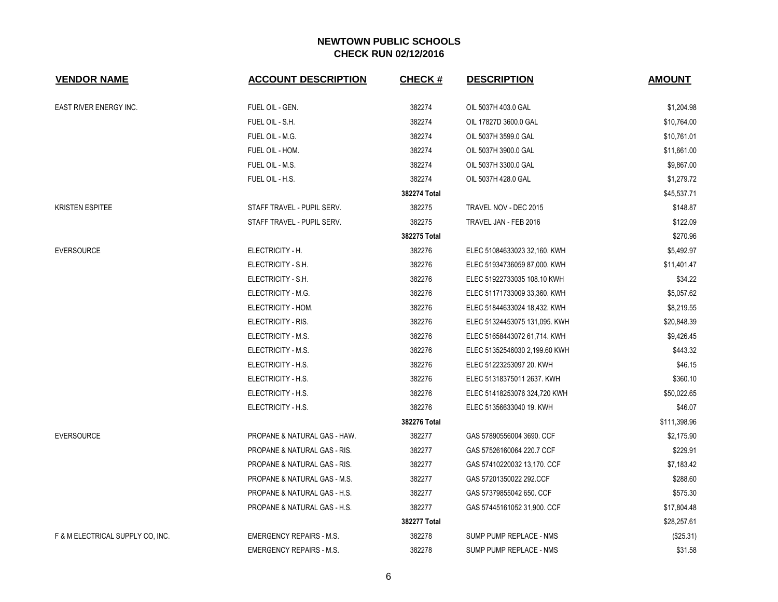| <b>VENDOR NAME</b>               | <b>ACCOUNT DESCRIPTION</b>      | <b>CHECK#</b> | <b>DESCRIPTION</b>            | <b>AMOUNT</b> |
|----------------------------------|---------------------------------|---------------|-------------------------------|---------------|
| <b>EAST RIVER ENERGY INC.</b>    | FUEL OIL - GEN.                 | 382274        | OIL 5037H 403.0 GAL           | \$1,204.98    |
|                                  | FUEL OIL - S.H.                 | 382274        | OIL 17827D 3600.0 GAL         | \$10,764.00   |
|                                  | FUEL OIL - M.G.                 | 382274        | OIL 5037H 3599.0 GAL          | \$10,761.01   |
|                                  | FUEL OIL - HOM.                 | 382274        | OIL 5037H 3900.0 GAL          | \$11,661.00   |
|                                  | FUEL OIL - M.S.                 | 382274        | OIL 5037H 3300.0 GAL          | \$9,867.00    |
|                                  | FUEL OIL - H.S.                 | 382274        | OIL 5037H 428.0 GAL           | \$1,279.72    |
|                                  |                                 | 382274 Total  |                               | \$45,537.71   |
| <b>KRISTEN ESPITEE</b>           | STAFF TRAVEL - PUPIL SERV.      | 382275        | TRAVEL NOV - DEC 2015         | \$148.87      |
|                                  | STAFF TRAVEL - PUPIL SERV.      | 382275        | TRAVEL JAN - FEB 2016         | \$122.09      |
|                                  |                                 | 382275 Total  |                               | \$270.96      |
| <b>EVERSOURCE</b>                | ELECTRICITY - H.                | 382276        | ELEC 51084633023 32,160. KWH  | \$5,492.97    |
|                                  | ELECTRICITY - S.H.              | 382276        | ELEC 51934736059 87,000. KWH  | \$11,401.47   |
|                                  | ELECTRICITY - S.H.              | 382276        | ELEC 51922733035 108.10 KWH   | \$34.22       |
|                                  | ELECTRICITY - M.G.              | 382276        | ELEC 51171733009 33,360. KWH  | \$5,057.62    |
|                                  | ELECTRICITY - HOM.              | 382276        | ELEC 51844633024 18,432. KWH  | \$8,219.55    |
|                                  | ELECTRICITY - RIS.              | 382276        | ELEC 51324453075 131,095. KWH | \$20,848.39   |
|                                  | ELECTRICITY - M.S.              | 382276        | ELEC 51658443072 61,714. KWH  | \$9,426.45    |
|                                  | ELECTRICITY - M.S.              | 382276        | ELEC 51352546030 2,199.60 KWH | \$443.32      |
|                                  | ELECTRICITY - H.S.              | 382276        | ELEC 51223253097 20. KWH      | \$46.15       |
|                                  | ELECTRICITY - H.S.              | 382276        | ELEC 51318375011 2637. KWH    | \$360.10      |
|                                  | ELECTRICITY - H.S.              | 382276        | ELEC 51418253076 324,720 KWH  | \$50,022.65   |
|                                  | ELECTRICITY - H.S.              | 382276        | ELEC 51356633040 19. KWH      | \$46.07       |
|                                  |                                 | 382276 Total  |                               | \$111,398.96  |
| <b>EVERSOURCE</b>                | PROPANE & NATURAL GAS - HAW.    | 382277        | GAS 57890556004 3690. CCF     | \$2,175.90    |
|                                  | PROPANE & NATURAL GAS - RIS.    | 382277        | GAS 57526160064 220.7 CCF     | \$229.91      |
|                                  | PROPANE & NATURAL GAS - RIS.    | 382277        | GAS 57410220032 13,170. CCF   | \$7,183.42    |
|                                  | PROPANE & NATURAL GAS - M.S.    | 382277        | GAS 57201350022 292.CCF       | \$288.60      |
|                                  | PROPANE & NATURAL GAS - H.S.    | 382277        | GAS 57379855042 650, CCF      | \$575.30      |
|                                  | PROPANE & NATURAL GAS - H.S.    | 382277        | GAS 57445161052 31,900. CCF   | \$17,804.48   |
|                                  |                                 | 382277 Total  |                               | \$28,257.61   |
| F & M ELECTRICAL SUPPLY CO, INC. | <b>EMERGENCY REPAIRS - M.S.</b> | 382278        | SUMP PUMP REPLACE - NMS       | $(\$25.31)$   |
|                                  | <b>EMERGENCY REPAIRS - M.S.</b> | 382278        | SUMP PUMP REPLACE - NMS       | \$31.58       |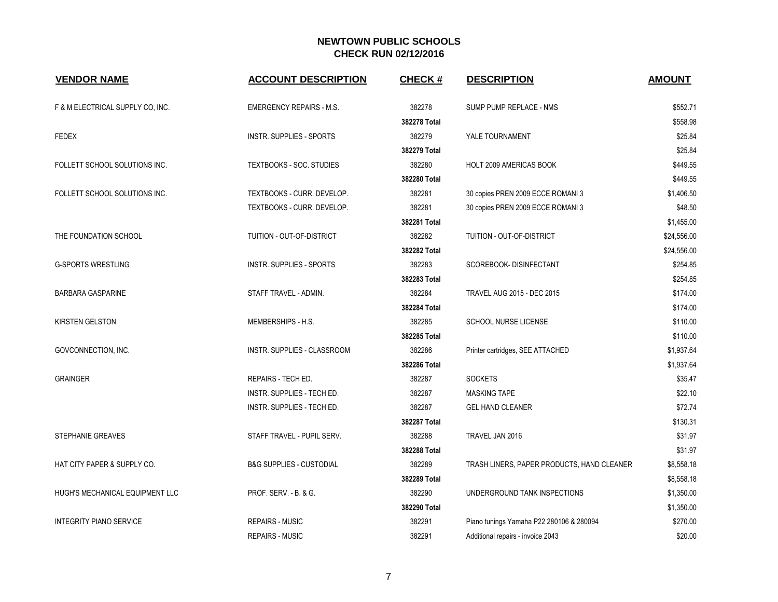| <b>VENDOR NAME</b>               | <b>ACCOUNT DESCRIPTION</b>          | <b>CHECK#</b> | <b>DESCRIPTION</b>                         | <b>AMOUNT</b> |
|----------------------------------|-------------------------------------|---------------|--------------------------------------------|---------------|
| F & M ELECTRICAL SUPPLY CO, INC. | <b>EMERGENCY REPAIRS - M.S.</b>     | 382278        | SUMP PUMP REPLACE - NMS                    | \$552.71      |
|                                  |                                     | 382278 Total  |                                            | \$558.98      |
| <b>FEDEX</b>                     | <b>INSTR. SUPPLIES - SPORTS</b>     | 382279        | YALE TOURNAMENT                            | \$25.84       |
|                                  |                                     | 382279 Total  |                                            | \$25.84       |
| FOLLETT SCHOOL SOLUTIONS INC.    | TEXTBOOKS - SOC. STUDIES            | 382280        | HOLT 2009 AMERICAS BOOK                    | \$449.55      |
|                                  |                                     | 382280 Total  |                                            | \$449.55      |
| FOLLETT SCHOOL SOLUTIONS INC.    | TEXTBOOKS - CURR. DEVELOP.          | 382281        | 30 copies PREN 2009 ECCE ROMANI 3          | \$1,406.50    |
|                                  | TEXTBOOKS - CURR. DEVELOP.          | 382281        | 30 copies PREN 2009 ECCE ROMANI 3          | \$48.50       |
|                                  |                                     | 382281 Total  |                                            | \$1,455.00    |
| THE FOUNDATION SCHOOL            | TUITION - OUT-OF-DISTRICT           | 382282        | TUITION - OUT-OF-DISTRICT                  | \$24,556.00   |
|                                  |                                     | 382282 Total  |                                            | \$24,556.00   |
| <b>G-SPORTS WRESTLING</b>        | INSTR. SUPPLIES - SPORTS            | 382283        | SCOREBOOK- DISINFECTANT                    | \$254.85      |
|                                  |                                     | 382283 Total  |                                            | \$254.85      |
| <b>BARBARA GASPARINE</b>         | STAFF TRAVEL - ADMIN.               | 382284        | <b>TRAVEL AUG 2015 - DEC 2015</b>          | \$174.00      |
|                                  |                                     | 382284 Total  |                                            | \$174.00      |
| <b>KIRSTEN GELSTON</b>           | MEMBERSHIPS - H.S.                  | 382285        | <b>SCHOOL NURSE LICENSE</b>                | \$110.00      |
|                                  |                                     | 382285 Total  |                                            | \$110.00      |
| GOVCONNECTION, INC.              | INSTR. SUPPLIES - CLASSROOM         | 382286        | Printer cartridges, SEE ATTACHED           | \$1,937.64    |
|                                  |                                     | 382286 Total  |                                            | \$1,937.64    |
| <b>GRAINGER</b>                  | REPAIRS - TECH ED.                  | 382287        | <b>SOCKETS</b>                             | \$35.47       |
|                                  | INSTR. SUPPLIES - TECH ED.          | 382287        | <b>MASKING TAPE</b>                        | \$22.10       |
|                                  | INSTR. SUPPLIES - TECH ED.          | 382287        | <b>GEL HAND CLEANER</b>                    | \$72.74       |
|                                  |                                     | 382287 Total  |                                            | \$130.31      |
| STEPHANIE GREAVES                | STAFF TRAVEL - PUPIL SERV.          | 382288        | TRAVEL JAN 2016                            | \$31.97       |
|                                  |                                     | 382288 Total  |                                            | \$31.97       |
| HAT CITY PAPER & SUPPLY CO.      | <b>B&amp;G SUPPLIES - CUSTODIAL</b> | 382289        | TRASH LINERS, PAPER PRODUCTS, HAND CLEANER | \$8,558.18    |
|                                  |                                     | 382289 Total  |                                            | \$8,558.18    |
| HUGH'S MECHANICAL EQUIPMENT LLC  | PROF. SERV. - B. & G.               | 382290        | UNDERGROUND TANK INSPECTIONS               | \$1,350.00    |
|                                  |                                     | 382290 Total  |                                            | \$1,350.00    |
| <b>INTEGRITY PIANO SERVICE</b>   | <b>REPAIRS - MUSIC</b>              | 382291        | Piano tunings Yamaha P22 280106 & 280094   | \$270.00      |
|                                  | <b>REPAIRS - MUSIC</b>              | 382291        | Additional repairs - invoice 2043          | \$20.00       |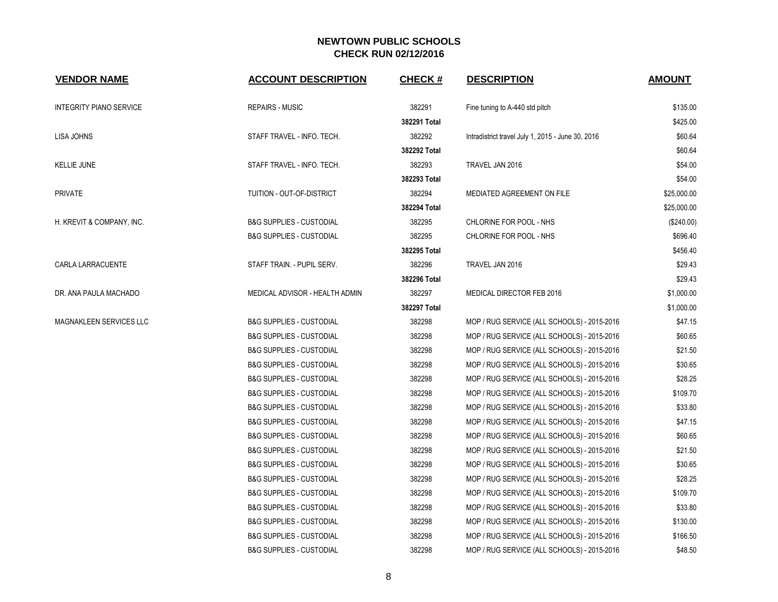| <b>VENDOR NAME</b>             | <b>ACCOUNT DESCRIPTION</b>          | <b>CHECK#</b> | <b>DESCRIPTION</b>                                | <b>AMOUNT</b> |
|--------------------------------|-------------------------------------|---------------|---------------------------------------------------|---------------|
| <b>INTEGRITY PIANO SERVICE</b> | <b>REPAIRS - MUSIC</b>              | 382291        | Fine tuning to A-440 std pitch                    | \$135.00      |
|                                |                                     | 382291 Total  |                                                   | \$425.00      |
| <b>LISA JOHNS</b>              | STAFF TRAVEL - INFO. TECH.          | 382292        | Intradistrict travel July 1, 2015 - June 30, 2016 | \$60.64       |
|                                |                                     | 382292 Total  |                                                   | \$60.64       |
| <b>KELLIE JUNE</b>             | STAFF TRAVEL - INFO. TECH.          | 382293        | TRAVEL JAN 2016                                   | \$54.00       |
|                                |                                     | 382293 Total  |                                                   | \$54.00       |
| <b>PRIVATE</b>                 | TUITION - OUT-OF-DISTRICT           | 382294        | MEDIATED AGREEMENT ON FILE                        | \$25,000.00   |
|                                |                                     | 382294 Total  |                                                   | \$25,000.00   |
| H. KREVIT & COMPANY, INC.      | <b>B&amp;G SUPPLIES - CUSTODIAL</b> | 382295        | CHLORINE FOR POOL - NHS                           | (\$240.00)    |
|                                | <b>B&amp;G SUPPLIES - CUSTODIAL</b> | 382295        | CHLORINE FOR POOL - NHS                           | \$696.40      |
|                                |                                     | 382295 Total  |                                                   | \$456.40      |
| CARLA LARRACUENTE              | STAFF TRAIN. - PUPIL SERV.          | 382296        | TRAVEL JAN 2016                                   | \$29.43       |
|                                |                                     | 382296 Total  |                                                   | \$29.43       |
| DR. ANA PAULA MACHADO          | MEDICAL ADVISOR - HEALTH ADMIN      | 382297        | MEDICAL DIRECTOR FEB 2016                         | \$1,000.00    |
|                                |                                     | 382297 Total  |                                                   | \$1,000.00    |
| MAGNAKLEEN SERVICES LLC        | <b>B&amp;G SUPPLIES - CUSTODIAL</b> | 382298        | MOP / RUG SERVICE (ALL SCHOOLS) - 2015-2016       | \$47.15       |
|                                | <b>B&amp;G SUPPLIES - CUSTODIAL</b> | 382298        | MOP / RUG SERVICE (ALL SCHOOLS) - 2015-2016       | \$60.65       |
|                                | <b>B&amp;G SUPPLIES - CUSTODIAL</b> | 382298        | MOP / RUG SERVICE (ALL SCHOOLS) - 2015-2016       | \$21.50       |
|                                | <b>B&amp;G SUPPLIES - CUSTODIAL</b> | 382298        | MOP / RUG SERVICE (ALL SCHOOLS) - 2015-2016       | \$30.65       |
|                                | <b>B&amp;G SUPPLIES - CUSTODIAL</b> | 382298        | MOP / RUG SERVICE (ALL SCHOOLS) - 2015-2016       | \$28.25       |
|                                | <b>B&amp;G SUPPLIES - CUSTODIAL</b> | 382298        | MOP / RUG SERVICE (ALL SCHOOLS) - 2015-2016       | \$109.70      |
|                                | <b>B&amp;G SUPPLIES - CUSTODIAL</b> | 382298        | MOP / RUG SERVICE (ALL SCHOOLS) - 2015-2016       | \$33.80       |
|                                | <b>B&amp;G SUPPLIES - CUSTODIAL</b> | 382298        | MOP / RUG SERVICE (ALL SCHOOLS) - 2015-2016       | \$47.15       |
|                                | <b>B&amp;G SUPPLIES - CUSTODIAL</b> | 382298        | MOP / RUG SERVICE (ALL SCHOOLS) - 2015-2016       | \$60.65       |
|                                | <b>B&amp;G SUPPLIES - CUSTODIAL</b> | 382298        | MOP / RUG SERVICE (ALL SCHOOLS) - 2015-2016       | \$21.50       |
|                                | <b>B&amp;G SUPPLIES - CUSTODIAL</b> | 382298        | MOP / RUG SERVICE (ALL SCHOOLS) - 2015-2016       | \$30.65       |
|                                | <b>B&amp;G SUPPLIES - CUSTODIAL</b> | 382298        | MOP / RUG SERVICE (ALL SCHOOLS) - 2015-2016       | \$28.25       |
|                                | <b>B&amp;G SUPPLIES - CUSTODIAL</b> | 382298        | MOP / RUG SERVICE (ALL SCHOOLS) - 2015-2016       | \$109.70      |
|                                | <b>B&amp;G SUPPLIES - CUSTODIAL</b> | 382298        | MOP / RUG SERVICE (ALL SCHOOLS) - 2015-2016       | \$33.80       |
|                                | <b>B&amp;G SUPPLIES - CUSTODIAL</b> | 382298        | MOP / RUG SERVICE (ALL SCHOOLS) - 2015-2016       | \$130.00      |
|                                | <b>B&amp;G SUPPLIES - CUSTODIAL</b> | 382298        | MOP / RUG SERVICE (ALL SCHOOLS) - 2015-2016       | \$166.50      |
|                                | <b>B&amp;G SUPPLIES - CUSTODIAL</b> | 382298        | MOP / RUG SERVICE (ALL SCHOOLS) - 2015-2016       | \$48.50       |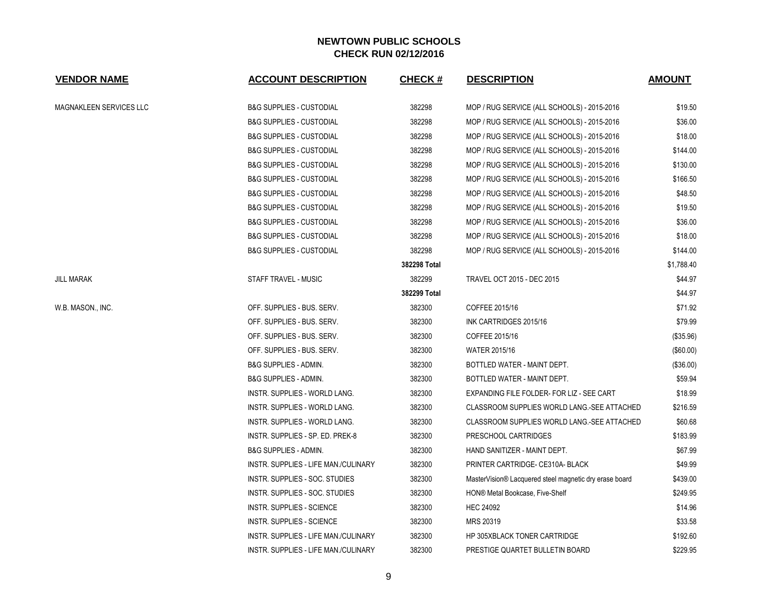| <b>VENDOR NAME</b>      | <b>ACCOUNT DESCRIPTION</b>                  | <b>CHECK#</b> | <b>DESCRIPTION</b>                                     | <b>AMOUNT</b> |
|-------------------------|---------------------------------------------|---------------|--------------------------------------------------------|---------------|
| MAGNAKLEEN SERVICES LLC | B&G SUPPLIES - CUSTODIAL                    | 382298        | MOP / RUG SERVICE (ALL SCHOOLS) - 2015-2016            | \$19.50       |
|                         | <b>B&amp;G SUPPLIES - CUSTODIAL</b>         | 382298        | MOP / RUG SERVICE (ALL SCHOOLS) - 2015-2016            | \$36.00       |
|                         | <b>B&amp;G SUPPLIES - CUSTODIAL</b>         | 382298        | MOP / RUG SERVICE (ALL SCHOOLS) - 2015-2016            | \$18.00       |
|                         | <b>B&amp;G SUPPLIES - CUSTODIAL</b>         | 382298        | MOP / RUG SERVICE (ALL SCHOOLS) - 2015-2016            | \$144.00      |
|                         | <b>B&amp;G SUPPLIES - CUSTODIAL</b>         | 382298        | MOP / RUG SERVICE (ALL SCHOOLS) - 2015-2016            | \$130.00      |
|                         | B&G SUPPLIES - CUSTODIAL                    | 382298        | MOP / RUG SERVICE (ALL SCHOOLS) - 2015-2016            | \$166.50      |
|                         | B&G SUPPLIES - CUSTODIAL                    | 382298        | MOP / RUG SERVICE (ALL SCHOOLS) - 2015-2016            | \$48.50       |
|                         | <b>B&amp;G SUPPLIES - CUSTODIAL</b>         | 382298        | MOP / RUG SERVICE (ALL SCHOOLS) - 2015-2016            | \$19.50       |
|                         | <b>B&amp;G SUPPLIES - CUSTODIAL</b>         | 382298        | MOP / RUG SERVICE (ALL SCHOOLS) - 2015-2016            | \$36.00       |
|                         | <b>B&amp;G SUPPLIES - CUSTODIAL</b>         | 382298        | MOP / RUG SERVICE (ALL SCHOOLS) - 2015-2016            | \$18.00       |
|                         | B&G SUPPLIES - CUSTODIAL                    | 382298        | MOP / RUG SERVICE (ALL SCHOOLS) - 2015-2016            | \$144.00      |
|                         |                                             | 382298 Total  |                                                        | \$1,788.40    |
| JILL MARAK              | STAFF TRAVEL - MUSIC                        | 382299        | <b>TRAVEL OCT 2015 - DEC 2015</b>                      | \$44.97       |
|                         |                                             | 382299 Total  |                                                        | \$44.97       |
| W.B. MASON., INC.       | OFF. SUPPLIES - BUS. SERV.                  | 382300        | COFFEE 2015/16                                         | \$71.92       |
|                         | OFF. SUPPLIES - BUS. SERV.                  | 382300        | INK CARTRIDGES 2015/16                                 | \$79.99       |
|                         | OFF. SUPPLIES - BUS. SERV.                  | 382300        | COFFEE 2015/16                                         | (\$35.96)     |
|                         | OFF. SUPPLIES - BUS. SERV.                  | 382300        | <b>WATER 2015/16</b>                                   | (\$60.00)     |
|                         | B&G SUPPLIES - ADMIN.                       | 382300        | BOTTLED WATER - MAINT DEPT.                            | (\$36.00)     |
|                         | <b>B&amp;G SUPPLIES - ADMIN.</b>            | 382300        | BOTTLED WATER - MAINT DEPT.                            | \$59.94       |
|                         | INSTR. SUPPLIES - WORLD LANG.               | 382300        | EXPANDING FILE FOLDER- FOR LIZ - SEE CART              | \$18.99       |
|                         | INSTR. SUPPLIES - WORLD LANG.               | 382300        | CLASSROOM SUPPLIES WORLD LANG.-SEE ATTACHED            | \$216.59      |
|                         | INSTR. SUPPLIES - WORLD LANG.               | 382300        | CLASSROOM SUPPLIES WORLD LANG.-SEE ATTACHED            | \$60.68       |
|                         | INSTR. SUPPLIES - SP. ED. PREK-8            | 382300        | PRESCHOOL CARTRIDGES                                   | \$183.99      |
|                         | <b>B&amp;G SUPPLIES - ADMIN.</b>            | 382300        | HAND SANITIZER - MAINT DEPT.                           | \$67.99       |
|                         | INSTR. SUPPLIES - LIFE MAN./CULINARY        | 382300        | PRINTER CARTRIDGE- CE310A- BLACK                       | \$49.99       |
|                         | INSTR. SUPPLIES - SOC. STUDIES              | 382300        | MasterVision® Lacquered steel magnetic dry erase board | \$439.00      |
|                         | INSTR. SUPPLIES - SOC. STUDIES              | 382300        | HON® Metal Bookcase, Five-Shelf                        | \$249.95      |
|                         | INSTR. SUPPLIES - SCIENCE                   | 382300        | <b>HEC 24092</b>                                       | \$14.96       |
|                         | INSTR. SUPPLIES - SCIENCE                   | 382300        | MRS 20319                                              | \$33.58       |
|                         | INSTR. SUPPLIES - LIFE MAN./CULINARY        | 382300        | HP 305XBLACK TONER CARTRIDGE                           | \$192.60      |
|                         | <b>INSTR. SUPPLIES - LIFE MAN./CULINARY</b> | 382300        | PRESTIGE QUARTET BULLETIN BOARD                        | \$229.95      |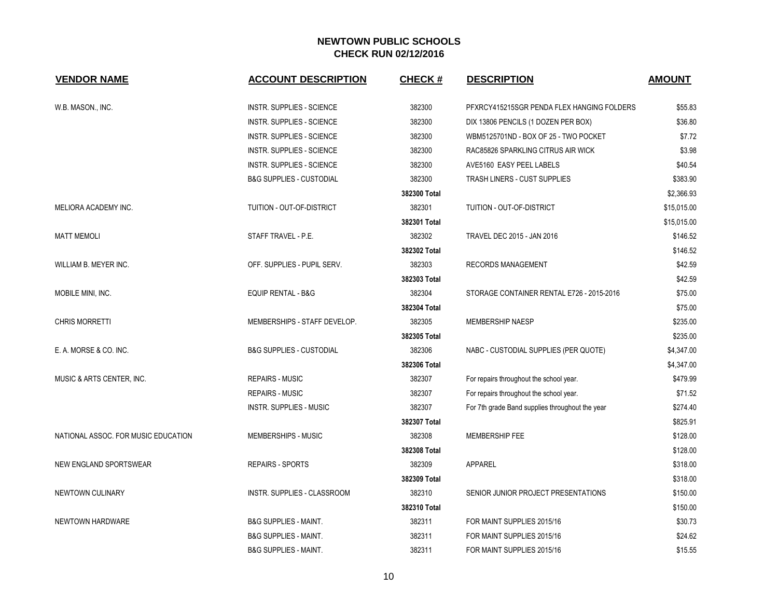| <b>VENDOR NAME</b>                  | <b>ACCOUNT DESCRIPTION</b>          | <b>CHECK#</b> | <b>DESCRIPTION</b>                              | <b>AMOUNT</b> |
|-------------------------------------|-------------------------------------|---------------|-------------------------------------------------|---------------|
| W.B. MASON., INC.                   | <b>INSTR. SUPPLIES - SCIENCE</b>    | 382300        | PFXRCY415215SGR PENDA FLEX HANGING FOLDERS      | \$55.83       |
|                                     | <b>INSTR. SUPPLIES - SCIENCE</b>    | 382300        | DIX 13806 PENCILS (1 DOZEN PER BOX)             | \$36.80       |
|                                     | INSTR. SUPPLIES - SCIENCE           | 382300        | WBM5125701ND - BOX OF 25 - TWO POCKET           | \$7.72        |
|                                     | <b>INSTR. SUPPLIES - SCIENCE</b>    | 382300        | RAC85826 SPARKLING CITRUS AIR WICK              | \$3.98        |
|                                     | <b>INSTR. SUPPLIES - SCIENCE</b>    | 382300        | AVE5160 EASY PEEL LABELS                        | \$40.54       |
|                                     | <b>B&amp;G SUPPLIES - CUSTODIAL</b> | 382300        | TRASH LINERS - CUST SUPPLIES                    | \$383.90      |
|                                     |                                     | 382300 Total  |                                                 | \$2,366.93    |
| MELIORA ACADEMY INC.                | TUITION - OUT-OF-DISTRICT           | 382301        | TUITION - OUT-OF-DISTRICT                       | \$15,015.00   |
|                                     |                                     | 382301 Total  |                                                 | \$15,015.00   |
| <b>MATT MEMOLI</b>                  | STAFF TRAVEL - P.E.                 | 382302        | TRAVEL DEC 2015 - JAN 2016                      | \$146.52      |
|                                     |                                     | 382302 Total  |                                                 | \$146.52      |
| WILLIAM B. MEYER INC.               | OFF. SUPPLIES - PUPIL SERV.         | 382303        | RECORDS MANAGEMENT                              | \$42.59       |
|                                     |                                     | 382303 Total  |                                                 | \$42.59       |
| MOBILE MINI, INC.                   | <b>EQUIP RENTAL - B&amp;G</b>       | 382304        | STORAGE CONTAINER RENTAL E726 - 2015-2016       | \$75.00       |
|                                     |                                     | 382304 Total  |                                                 | \$75.00       |
| <b>CHRIS MORRETTI</b>               | MEMBERSHIPS - STAFF DEVELOP.        | 382305        | <b>MEMBERSHIP NAESP</b>                         | \$235.00      |
|                                     |                                     | 382305 Total  |                                                 | \$235.00      |
| E. A. MORSE & CO. INC.              | <b>B&amp;G SUPPLIES - CUSTODIAL</b> | 382306        | NABC - CUSTODIAL SUPPLIES (PER QUOTE)           | \$4,347.00    |
|                                     |                                     | 382306 Total  |                                                 | \$4,347.00    |
| MUSIC & ARTS CENTER, INC.           | <b>REPAIRS - MUSIC</b>              | 382307        | For repairs throughout the school year.         | \$479.99      |
|                                     | <b>REPAIRS - MUSIC</b>              | 382307        | For repairs throughout the school year.         | \$71.52       |
|                                     | INSTR. SUPPLIES - MUSIC             | 382307        | For 7th grade Band supplies throughout the year | \$274.40      |
|                                     |                                     | 382307 Total  |                                                 | \$825.91      |
| NATIONAL ASSOC. FOR MUSIC EDUCATION | MEMBERSHIPS - MUSIC                 | 382308        | MEMBERSHIP FEE                                  | \$128.00      |
|                                     |                                     | 382308 Total  |                                                 | \$128.00      |
| NEW ENGLAND SPORTSWEAR              | <b>REPAIRS - SPORTS</b>             | 382309        | <b>APPAREL</b>                                  | \$318.00      |
|                                     |                                     | 382309 Total  |                                                 | \$318.00      |
| NEWTOWN CULINARY                    | INSTR. SUPPLIES - CLASSROOM         | 382310        | SENIOR JUNIOR PROJECT PRESENTATIONS             | \$150.00      |
|                                     |                                     | 382310 Total  |                                                 | \$150.00      |
| NEWTOWN HARDWARE                    | <b>B&amp;G SUPPLIES - MAINT.</b>    | 382311        | FOR MAINT SUPPLIES 2015/16                      | \$30.73       |
|                                     | <b>B&amp;G SUPPLIES - MAINT.</b>    | 382311        | FOR MAINT SUPPLIES 2015/16                      | \$24.62       |
|                                     | <b>B&amp;G SUPPLIES - MAINT.</b>    | 382311        | FOR MAINT SUPPLIES 2015/16                      | \$15.55       |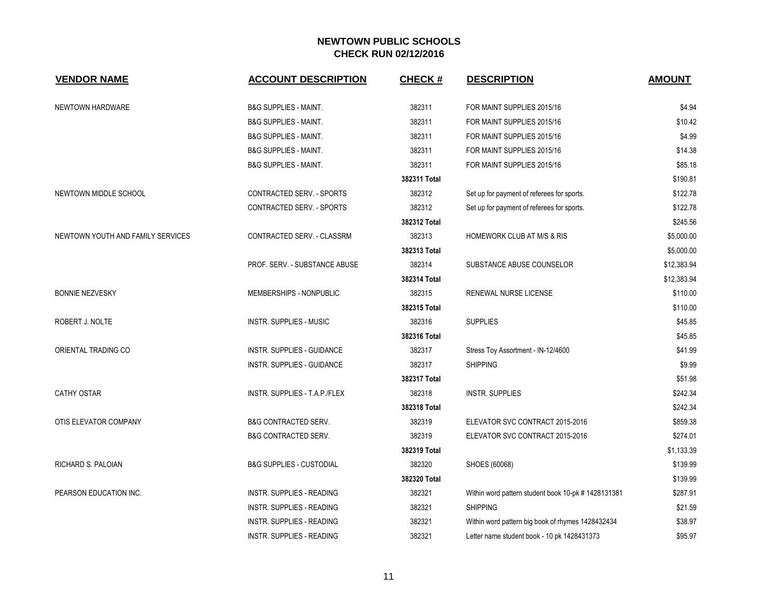| <b>VENDOR NAME</b>                | <b>ACCOUNT DESCRIPTION</b>          | <b>CHECK#</b> | <b>DESCRIPTION</b>                                  | <b>AMOUNT</b> |
|-----------------------------------|-------------------------------------|---------------|-----------------------------------------------------|---------------|
| NEWTOWN HARDWARE                  | <b>B&amp;G SUPPLIES - MAINT.</b>    | 382311        | FOR MAINT SUPPLIES 2015/16                          | \$4.94        |
|                                   | <b>B&amp;G SUPPLIES - MAINT.</b>    | 382311        | FOR MAINT SUPPLIES 2015/16                          | \$10.42       |
|                                   | <b>B&amp;G SUPPLIES - MAINT.</b>    | 382311        | FOR MAINT SUPPLIES 2015/16                          | \$4.99        |
|                                   | <b>B&amp;G SUPPLIES - MAINT.</b>    | 382311        | FOR MAINT SUPPLIES 2015/16                          | \$14.38       |
|                                   | <b>B&amp;G SUPPLIES - MAINT.</b>    | 382311        | FOR MAINT SUPPLIES 2015/16                          | \$85.18       |
|                                   |                                     | 382311 Total  |                                                     | \$190.81      |
| NEWTOWN MIDDLE SCHOOL             | CONTRACTED SERV. - SPORTS           | 382312        | Set up for payment of referees for sports.          | \$122.78      |
|                                   | CONTRACTED SERV. - SPORTS           | 382312        | Set up for payment of referees for sports.          | \$122.78      |
|                                   |                                     | 382312 Total  |                                                     | \$245.56      |
| NEWTOWN YOUTH AND FAMILY SERVICES | CONTRACTED SERV. - CLASSRM          | 382313        | <b>HOMEWORK CLUB AT M/S &amp; RIS</b>               | \$5,000.00    |
|                                   |                                     | 382313 Total  |                                                     | \$5,000.00    |
|                                   | PROF. SERV. - SUBSTANCE ABUSE       | 382314        | SUBSTANCE ABUSE COUNSELOR                           | \$12,383.94   |
|                                   |                                     | 382314 Total  |                                                     | \$12,383.94   |
| <b>BONNIE NEZVESKY</b>            | MEMBERSHIPS - NONPUBLIC             | 382315        | RENEWAL NURSE LICENSE                               | \$110.00      |
|                                   |                                     | 382315 Total  |                                                     | \$110.00      |
| ROBERT J. NOLTE                   | <b>INSTR. SUPPLIES - MUSIC</b>      | 382316        | <b>SUPPLIES</b>                                     | \$45.85       |
|                                   |                                     | 382316 Total  |                                                     | \$45.85       |
| ORIENTAL TRADING CO               | INSTR. SUPPLIES - GUIDANCE          | 382317        | Stress Toy Assortment - IN-12/4600                  | \$41.99       |
|                                   | INSTR. SUPPLIES - GUIDANCE          | 382317        | <b>SHIPPING</b>                                     | \$9.99        |
|                                   |                                     | 382317 Total  |                                                     | \$51.98       |
| <b>CATHY OSTAR</b>                | INSTR. SUPPLIES - T.A.P./FLEX       | 382318        | <b>INSTR. SUPPLIES</b>                              | \$242.34      |
|                                   |                                     | 382318 Total  |                                                     | \$242.34      |
| OTIS ELEVATOR COMPANY             | <b>B&amp;G CONTRACTED SERV.</b>     | 382319        | ELEVATOR SVC CONTRACT 2015-2016                     | \$859.38      |
|                                   | <b>B&amp;G CONTRACTED SERV.</b>     | 382319        | ELEVATOR SVC CONTRACT 2015-2016                     | \$274.01      |
|                                   |                                     | 382319 Total  |                                                     | \$1,133.39    |
| RICHARD S. PALOIAN                | <b>B&amp;G SUPPLIES - CUSTODIAL</b> | 382320        | SHOES (60068)                                       | \$139.99      |
|                                   |                                     | 382320 Total  |                                                     | \$139.99      |
| PEARSON EDUCATION INC.            | INSTR. SUPPLIES - READING           | 382321        | Within word pattern student book 10-pk # 1428131381 | \$287.91      |
|                                   | INSTR. SUPPLIES - READING           | 382321        | <b>SHIPPING</b>                                     | \$21.59       |
|                                   | <b>INSTR. SUPPLIES - READING</b>    | 382321        | Within word pattern big book of rhymes 1428432434   | \$38.97       |
|                                   | INSTR. SUPPLIES - READING           | 382321        | Letter name student book - 10 pk 1428431373         | \$95.97       |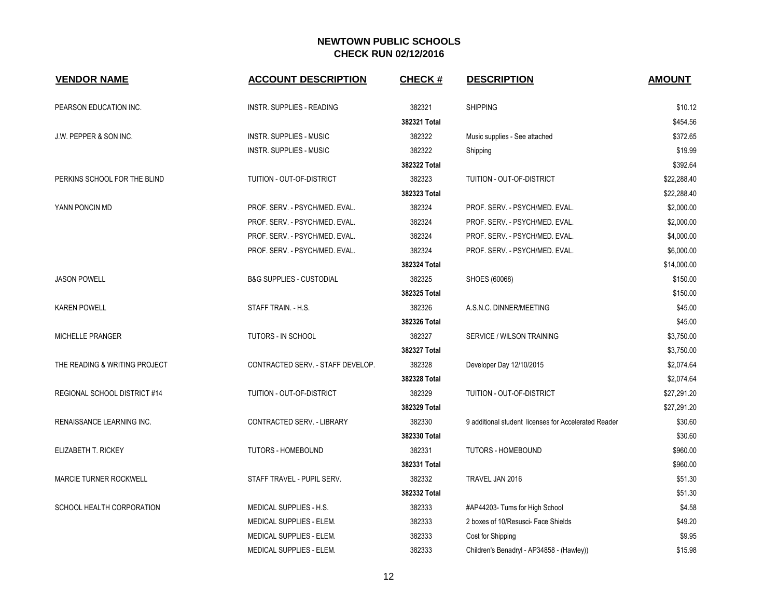| <b>VENDOR NAME</b>            | <b>ACCOUNT DESCRIPTION</b>          | CHECK #      | <b>DESCRIPTION</b>                                   | <b>AMOUNT</b> |
|-------------------------------|-------------------------------------|--------------|------------------------------------------------------|---------------|
| PEARSON EDUCATION INC.        | INSTR. SUPPLIES - READING           | 382321       | <b>SHIPPING</b>                                      | \$10.12       |
|                               |                                     | 382321 Total |                                                      | \$454.56      |
| J.W. PEPPER & SON INC.        | <b>INSTR. SUPPLIES - MUSIC</b>      | 382322       | Music supplies - See attached                        | \$372.65      |
|                               | <b>INSTR. SUPPLIES - MUSIC</b>      | 382322       | Shipping                                             | \$19.99       |
|                               |                                     | 382322 Total |                                                      | \$392.64      |
| PERKINS SCHOOL FOR THE BLIND  | TUITION - OUT-OF-DISTRICT           | 382323       | TUITION - OUT-OF-DISTRICT                            | \$22,288.40   |
|                               |                                     | 382323 Total |                                                      | \$22,288.40   |
| YANN PONCIN MD                | PROF. SERV. - PSYCH/MED. EVAL.      | 382324       | PROF. SERV. - PSYCH/MED. EVAL.                       | \$2,000.00    |
|                               | PROF. SERV. - PSYCH/MED. EVAL.      | 382324       | PROF. SERV. - PSYCH/MED. EVAL.                       | \$2,000.00    |
|                               | PROF. SERV. - PSYCH/MED. EVAL.      | 382324       | PROF. SERV. - PSYCH/MED. EVAL.                       | \$4,000.00    |
|                               | PROF. SERV. - PSYCH/MED. EVAL.      | 382324       | PROF. SERV. - PSYCH/MED. EVAL.                       | \$6,000.00    |
|                               |                                     | 382324 Total |                                                      | \$14,000.00   |
| <b>JASON POWELL</b>           | <b>B&amp;G SUPPLIES - CUSTODIAL</b> | 382325       | SHOES (60068)                                        | \$150.00      |
|                               |                                     | 382325 Total |                                                      | \$150.00      |
| <b>KAREN POWELL</b>           | STAFF TRAIN. - H.S.                 | 382326       | A.S.N.C. DINNER/MEETING                              | \$45.00       |
|                               |                                     | 382326 Total |                                                      | \$45.00       |
| MICHELLE PRANGER              | TUTORS - IN SCHOOL                  | 382327       | SERVICE / WILSON TRAINING                            | \$3,750.00    |
|                               |                                     | 382327 Total |                                                      | \$3,750.00    |
| THE READING & WRITING PROJECT | CONTRACTED SERV. - STAFF DEVELOP.   | 382328       | Developer Day 12/10/2015                             | \$2,074.64    |
|                               |                                     | 382328 Total |                                                      | \$2,074.64    |
| REGIONAL SCHOOL DISTRICT #14  | TUITION - OUT-OF-DISTRICT           | 382329       | TUITION - OUT-OF-DISTRICT                            | \$27,291.20   |
|                               |                                     | 382329 Total |                                                      | \$27,291.20   |
| RENAISSANCE LEARNING INC.     | CONTRACTED SERV. - LIBRARY          | 382330       | 9 additional student licenses for Accelerated Reader | \$30.60       |
|                               |                                     | 382330 Total |                                                      | \$30.60       |
| ELIZABETH T. RICKEY           | <b>TUTORS - HOMEBOUND</b>           | 382331       | TUTORS - HOMEBOUND                                   | \$960.00      |
|                               |                                     | 382331 Total |                                                      | \$960.00      |
| <b>MARCIE TURNER ROCKWELL</b> | STAFF TRAVEL - PUPIL SERV.          | 382332       | TRAVEL JAN 2016                                      | \$51.30       |
|                               |                                     | 382332 Total |                                                      | \$51.30       |
| SCHOOL HEALTH CORPORATION     | MEDICAL SUPPLIES - H.S.             | 382333       | #AP44203- Tums for High School                       | \$4.58        |
|                               | MEDICAL SUPPLIES - ELEM.            | 382333       | 2 boxes of 10/Resusci- Face Shields                  | \$49.20       |
|                               | MEDICAL SUPPLIES - ELEM.            | 382333       | Cost for Shipping                                    | \$9.95        |
|                               | MEDICAL SUPPLIES - ELEM.            | 382333       | Children's Benadryl - AP34858 - (Hawley))            | \$15.98       |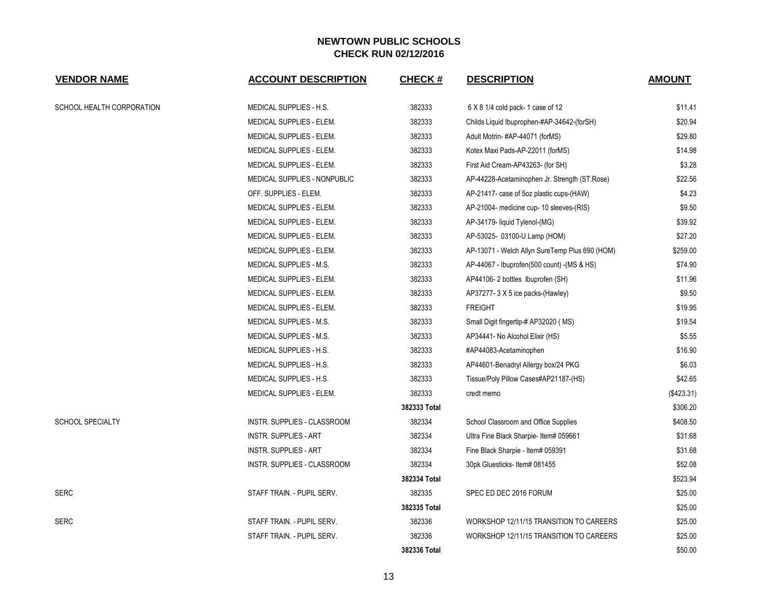| <b>VENDOR NAME</b>        | <b>ACCOUNT DESCRIPTION</b>   | <b>CHECK#</b> | <b>DESCRIPTION</b>                             | <b>AMOUNT</b> |
|---------------------------|------------------------------|---------------|------------------------------------------------|---------------|
| SCHOOL HEALTH CORPORATION | MEDICAL SUPPLIES - H.S.      | 382333        | 6 X 8 1/4 cold pack-1 case of 12               | \$11.41       |
|                           | MEDICAL SUPPLIES - ELEM.     | 382333        | Childs Liquid Ibuprophen-#AP-34642-(forSH)     | \$20.94       |
|                           | MEDICAL SUPPLIES - ELEM.     | 382333        | Adult Motrin-#AP-44071 (forMS)                 | \$29.80       |
|                           | MEDICAL SUPPLIES - ELEM.     | 382333        | Kotex Maxi Pads-AP-22011 (forMS)               | \$14.98       |
|                           | MEDICAL SUPPLIES - ELEM.     | 382333        | First Aid Cream-AP43263- (for SH)              | \$3.28        |
|                           | MEDICAL SUPPLIES - NONPUBLIC | 382333        | AP-44228-Acetaminophen Jr. Strength (ST.Rose)  | \$22.56       |
|                           | OFF. SUPPLIES - ELEM.        | 382333        | AP-21417- case of 5oz plastic cups-(HAW)       | \$4.23        |
|                           | MEDICAL SUPPLIES - ELEM.     | 382333        | AP-21004- medicine cup- 10 sleeves-(RIS)       | \$9.50        |
|                           | MEDICAL SUPPLIES - ELEM.     | 382333        | AP-34179- liquid Tylenol-(MG)                  | \$39.92       |
|                           | MEDICAL SUPPLIES - ELEM.     | 382333        | AP-53025- 03100-U Lamp (HOM)                   | \$27.20       |
|                           | MEDICAL SUPPLIES - ELEM.     | 382333        | AP-13071 - Welch Allyn SureTemp Plus 690 (HOM) | \$259.00      |
|                           | MEDICAL SUPPLIES - M.S.      | 382333        | AP-44067 - Ibuprofen(500 count) - (MS & HS)    | \$74.90       |
|                           | MEDICAL SUPPLIES - ELEM.     | 382333        | AP44106-2 bottles Ibuprofen (SH)               | \$11.96       |
|                           | MEDICAL SUPPLIES - ELEM.     | 382333        | AP37277-3 X 5 ice packs-(Hawley)               | \$9.50        |
|                           | MEDICAL SUPPLIES - ELEM.     | 382333        | <b>FREIGHT</b>                                 | \$19.95       |
|                           | MEDICAL SUPPLIES - M.S.      | 382333        | Small Digit fingertip-# AP32020 (MS)           | \$19.54       |
|                           | MEDICAL SUPPLIES - M.S.      | 382333        | AP34441- No Alcohol Elixir (HS)                | \$5.55        |
|                           | MEDICAL SUPPLIES - H.S.      | 382333        | #AP44083-Acetaminophen                         | \$16.90       |
|                           | MEDICAL SUPPLIES - H.S.      | 382333        | AP44601-Benadryl Allergy box/24 PKG            | \$6.03        |
|                           | MEDICAL SUPPLIES - H.S.      | 382333        | Tissue/Poly Pillow Cases#AP21187-(HS)          | \$42.65       |
|                           | MEDICAL SUPPLIES - ELEM.     | 382333        | credt memo                                     | (\$423.31)    |
|                           |                              | 382333 Total  |                                                | \$306.20      |
| <b>SCHOOL SPECIALTY</b>   | INSTR. SUPPLIES - CLASSROOM  | 382334        | School Classroom and Office Supplies           | \$408.50      |
|                           | <b>INSTR. SUPPLIES - ART</b> | 382334        | Ultra Fine Black Sharpie- Item# 059661         | \$31.68       |
|                           | INSTR. SUPPLIES - ART        | 382334        | Fine Black Sharpie - Item# 059391              | \$31.68       |
|                           | INSTR. SUPPLIES - CLASSROOM  | 382334        | 30pk Gluesticks-Item# 081455                   | \$52.08       |
|                           |                              | 382334 Total  |                                                | \$523.94      |
| <b>SERC</b>               | STAFF TRAIN. - PUPIL SERV.   | 382335        | SPEC ED DEC 2016 FORUM                         | \$25.00       |
|                           |                              | 382335 Total  |                                                | \$25.00       |
| <b>SERC</b>               | STAFF TRAIN. - PUPIL SERV.   | 382336        | WORKSHOP 12/11/15 TRANSITION TO CAREERS        | \$25.00       |
|                           | STAFF TRAIN. - PUPIL SERV.   | 382336        | WORKSHOP 12/11/15 TRANSITION TO CAREERS        | \$25.00       |
|                           |                              | 382336 Total  |                                                | \$50.00       |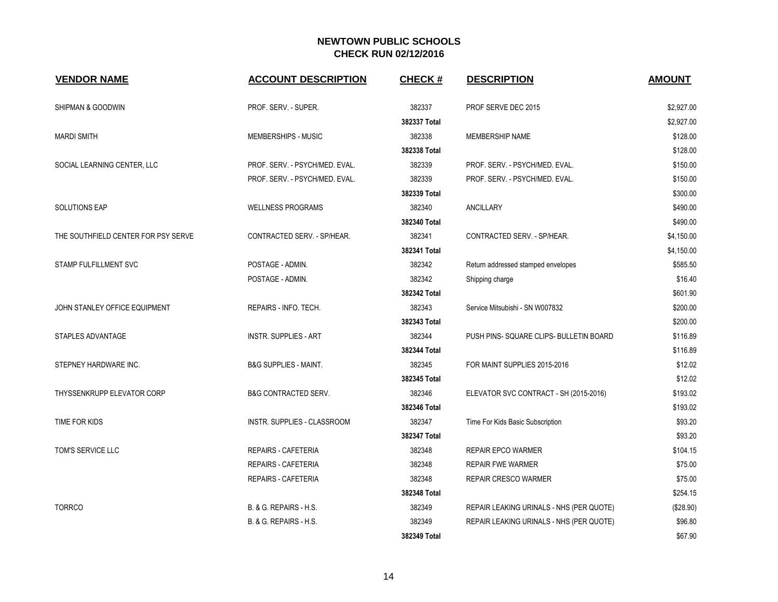| <b>VENDOR NAME</b>                  | <b>ACCOUNT DESCRIPTION</b>       | <b>CHECK#</b> | <b>DESCRIPTION</b>                       | <b>AMOUNT</b> |
|-------------------------------------|----------------------------------|---------------|------------------------------------------|---------------|
| SHIPMAN & GOODWIN                   | PROF. SERV. - SUPER.             | 382337        | PROF SERVE DEC 2015                      | \$2,927.00    |
|                                     |                                  | 382337 Total  |                                          | \$2,927.00    |
| <b>MARDI SMITH</b>                  | MEMBERSHIPS - MUSIC              | 382338        | MEMBERSHIP NAME                          | \$128.00      |
|                                     |                                  | 382338 Total  |                                          | \$128.00      |
| SOCIAL LEARNING CENTER, LLC         | PROF. SERV. - PSYCH/MED. EVAL.   | 382339        | PROF. SERV. - PSYCH/MED. EVAL.           | \$150.00      |
|                                     | PROF. SERV. - PSYCH/MED. EVAL.   | 382339        | PROF. SERV. - PSYCH/MED. EVAL.           | \$150.00      |
|                                     |                                  | 382339 Total  |                                          | \$300.00      |
| <b>SOLUTIONS EAP</b>                | <b>WELLNESS PROGRAMS</b>         | 382340        | <b>ANCILLARY</b>                         | \$490.00      |
|                                     |                                  | 382340 Total  |                                          | \$490.00      |
| THE SOUTHFIELD CENTER FOR PSY SERVE | CONTRACTED SERV. - SP/HEAR.      | 382341        | CONTRACTED SERV. - SP/HEAR.              | \$4,150.00    |
|                                     |                                  | 382341 Total  |                                          | \$4,150.00    |
| STAMP FULFILLMENT SVC               | POSTAGE - ADMIN.                 | 382342        | Return addressed stamped envelopes       | \$585.50      |
|                                     | POSTAGE - ADMIN.                 | 382342        | Shipping charge                          | \$16.40       |
|                                     |                                  | 382342 Total  |                                          | \$601.90      |
| JOHN STANLEY OFFICE EQUIPMENT       | REPAIRS - INFO. TECH.            | 382343        | Service Mitsubishi - SN W007832          | \$200.00      |
|                                     |                                  | 382343 Total  |                                          | \$200.00      |
| STAPLES ADVANTAGE                   | <b>INSTR. SUPPLIES - ART</b>     | 382344        | PUSH PINS-SQUARE CLIPS- BULLETIN BOARD   | \$116.89      |
|                                     |                                  | 382344 Total  |                                          | \$116.89      |
| STEPNEY HARDWARE INC.               | <b>B&amp;G SUPPLIES - MAINT.</b> | 382345        | FOR MAINT SUPPLIES 2015-2016             | \$12.02       |
|                                     |                                  | 382345 Total  |                                          | \$12.02       |
| THYSSENKRUPP ELEVATOR CORP          | <b>B&amp;G CONTRACTED SERV.</b>  | 382346        | ELEVATOR SVC CONTRACT - SH (2015-2016)   | \$193.02      |
|                                     |                                  | 382346 Total  |                                          | \$193.02      |
| TIME FOR KIDS                       | INSTR. SUPPLIES - CLASSROOM      | 382347        | Time For Kids Basic Subscription         | \$93.20       |
|                                     |                                  | 382347 Total  |                                          | \$93.20       |
| TOM'S SERVICE LLC                   | REPAIRS - CAFETERIA              | 382348        | <b>REPAIR EPCO WARMER</b>                | \$104.15      |
|                                     | <b>REPAIRS - CAFETERIA</b>       | 382348        | <b>REPAIR FWE WARMER</b>                 | \$75.00       |
|                                     | REPAIRS - CAFETERIA              | 382348        | REPAIR CRESCO WARMER                     | \$75.00       |
|                                     |                                  | 382348 Total  |                                          | \$254.15      |
| <b>TORRCO</b>                       | B. & G. REPAIRS - H.S.           | 382349        | REPAIR LEAKING URINALS - NHS (PER QUOTE) | (\$28.90)     |
|                                     | B. & G. REPAIRS - H.S.           | 382349        | REPAIR LEAKING URINALS - NHS (PER QUOTE) | \$96.80       |
|                                     |                                  | 382349 Total  |                                          | \$67.90       |